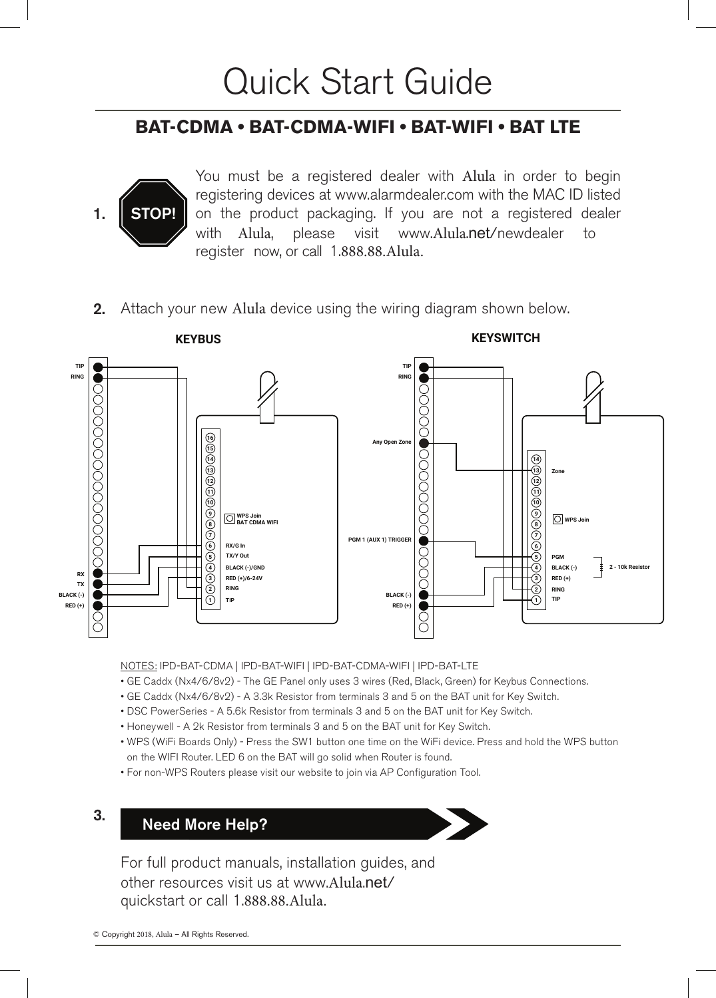# Quick Start Guide

# **BAT-CDMA • BAT-CDMA-WIFI • BAT-WIFI • BAT LTE**



You must be a registered dealer with Alula in order to begin registering devices at www.alarmdealer.com with the MAC ID listed on the product packaging. If you are not a registered dealer with Alula, please visit www.Alula.net/newdealer to register now, or call 1.888.88.Alula.

**2.** Attach your new Alula device using the wiring diagram shown below.



NOTES: IPD-BAT-CDMA | IPD-BAT-WIFI | IPD-BAT-CDMA-WIFI | IPD-BAT-LTE

- GE Caddx (Nx4/6/8v2) The GE Panel only uses 3 wires (Red, Black, Green) for Keybus Connections.
- GE Caddx (Nx4/6/8v2) A 3.3k Resistor from terminals 3 and 5 on the BAT unit for Key Switch.
- DSC PowerSeries A 5.6k Resistor from terminals 3 and 5 on the BAT unit for Key Switch.
- Honeywell A 2k Resistor from terminals 3 and 5 on the BAT unit for Key Switch.
- WPS (WiFi Boards Only) Press the SW1 button one time on the WiFi device. Press and hold the WPS button on the WIFI Router. LED 6 on the BAT will go solid when Router is found.
- For non-WPS Routers please visit our website to join via AP Configuration Tool.

# 3. Need More Help?



For full product manuals, installation guides, and other resources visit us at www.Alula.net/ quickstart or call 1.888.88.Alula.